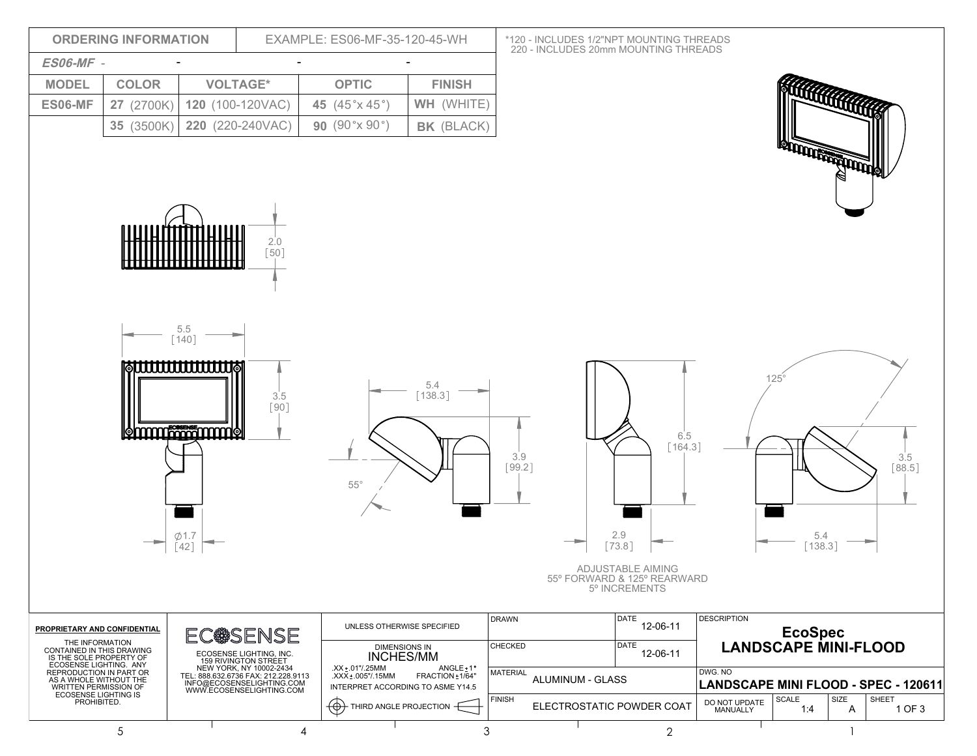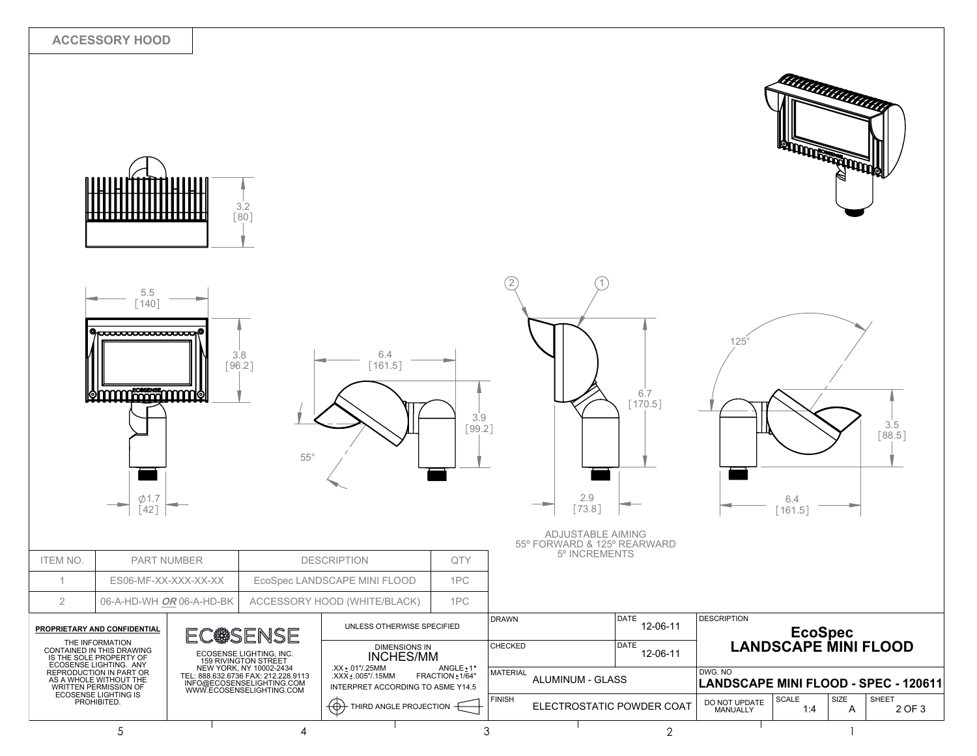